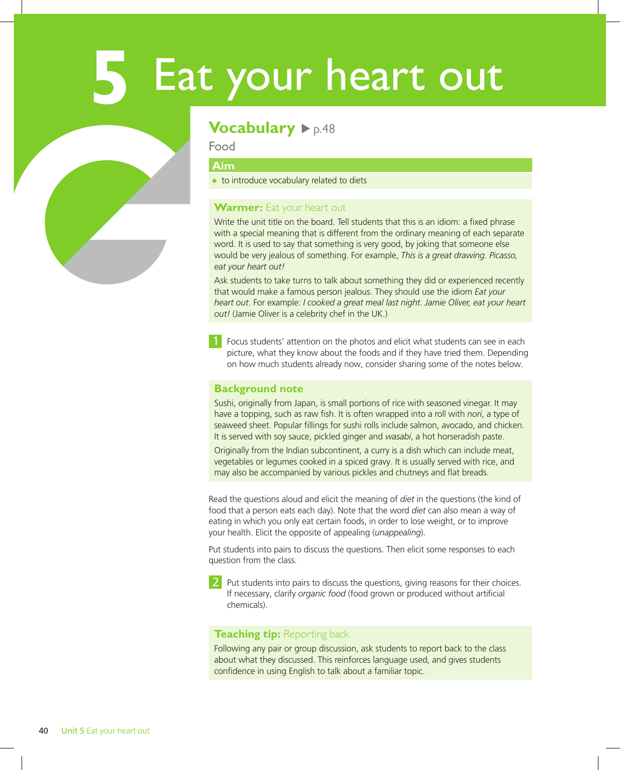# **5** Eat your heart out

### **Vocabulary**  $\rho_{p.48}$

Food

### **Aim**

● to introduce vocabulary related to diets

### **Warmer:** Eat your heart out

Write the unit title on the board. Tell students that this is an idiom: a fixed phrase with a special meaning that is different from the ordinary meaning of each separate word. It is used to say that something is very good, by joking that someone else would be very jealous of something. For example, *This is a great drawing. Picasso, eat your heart out!*

Ask students to take turns to talk about something they did or experienced recently that would make a famous person jealous. They should use the idiom *Eat your heart out*. For example: *I cooked a great meal last night. Jamie Oliver, eat your heart out!* (Jamie Oliver is a celebrity chef in the UK.)

1 Focus students' attention on the photos and elicit what students can see in each picture, what they know about the foods and if they have tried them. Depending on how much students already now, consider sharing some of the notes below.

### **Background note**

Sushi, originally from Japan, is small portions of rice with seasoned vinegar. It may have a topping, such as raw fish. It is often wrapped into a roll with *nori*, a type of seaweed sheet. Popular fillings for sushi rolls include salmon, avocado, and chicken. It is served with soy sauce, pickled ginger and *wasabi*, a hot horseradish paste.

Originally from the Indian subcontinent, a curry is a dish which can include meat, vegetables or legumes cooked in a spiced gravy. It is usually served with rice, and may also be accompanied by various pickles and chutneys and flat breads.

Read the questions aloud and elicit the meaning of *diet* in the questions (the kind of food that a person eats each day). Note that the word *diet* can also mean a way of eating in which you only eat certain foods, in order to lose weight, or to improve your health. Elicit the opposite of appealing (*unappealing*).

Put students into pairs to discuss the questions. Then elicit some responses to each question from the class.

2 Put students into pairs to discuss the questions, giving reasons for their choices. If necessary, clarify *organic food* (food grown or produced without artificial chemicals).

### **Teaching tip:** Reporting back

Following any pair or group discussion, ask students to report back to the class about what they discussed. This reinforces language used, and gives students confidence in using English to talk about a familiar topic.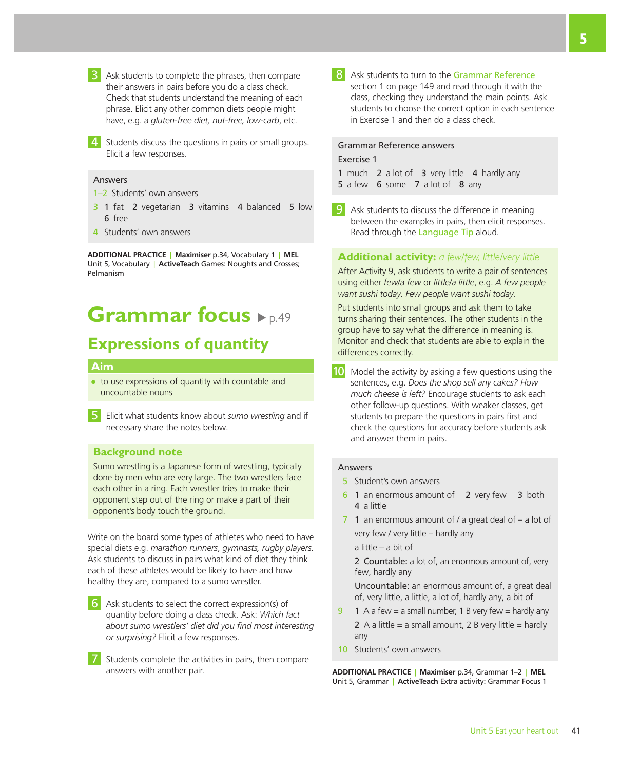- 3 Ask students to complete the phrases, then compare their answers in pairs before you do a class check. Check that students understand the meaning of each phrase. Elicit any other common diets people might have, e.g. *a gluten-free diet, nut-free, low-carb*, etc.
- Students discuss the questions in pairs or small groups. Elicit a few responses.

#### Answers

- 1–2 Students' own answers
- 3 1 fat 2 vegetarian 3 vitamins 4 balanced 5 low 6 free
- 4 Students' own answers

**ADDITIONAL PRACTICE** | **Maximiser** p.34, Vocabulary 1 | **MEL** Unit 5, Vocabulary | **ActiveTeach** Games: Noughts and Crosses; Pelmanism

## **Grammar focus**  $\blacktriangleright$  <sub>p.49</sub>

### **Expressions of quantity**

### **Aim**

- to use expressions of quantity with countable and uncountable nouns
- 5 Elicit what students know about *sumo wrestling* and if necessary share the notes below.

### **Background note**

Sumo wrestling is a Japanese form of wrestling, typically done by men who are very large. The two wrestlers face each other in a ring. Each wrestler tries to make their opponent step out of the ring or make a part of their opponent's body touch the ground.

Write on the board some types of athletes who need to have special diets e.g. *marathon runners*, *gymnasts, rugby players.*  Ask students to discuss in pairs what kind of diet they think each of these athletes would be likely to have and how healthy they are, compared to a sumo wrestler.

- 6 Ask students to select the correct expression(s) of quantity before doing a class check. Ask: *Which fact about sumo wrestlers' diet did you find most interesting or surprising?* Elicit a few responses.
- Students complete the activities in pairs, then compare answers with another pair.

8 Ask students to turn to the Grammar Reference section 1 on page 149 and read through it with the class, checking they understand the main points. Ask students to choose the correct option in each sentence in Exercise 1 and then do a class check.

### Grammar Reference answers

### Exercise 1

1 much 2 a lot of 3 very little 4 hardly any

- 5 a few 6 some 7 a lot of 8 any
- 9 Ask students to discuss the difference in meaning between the examples in pairs, then elicit responses. Read through the Language Tip aloud.

### **Additional activity:** *a few/few, little/very little*

After Activity 9, ask students to write a pair of sentences using either *few*/*a few* or *little*/*a little*, e.g. *A few people want sushi today. Few people want sushi today.* 

Put students into small groups and ask them to take turns sharing their sentences. The other students in the group have to say what the difference in meaning is. Monitor and check that students are able to explain the differences correctly.

10 Model the activity by asking a few questions using the sentences, e.g. *Does the shop sell any cakes? How much cheese is left?* Encourage students to ask each other follow-up questions. With weaker classes, get students to prepare the questions in pairs first and check the questions for accuracy before students ask and answer them in pairs.

### Answers

- 5 Student's own answers
- 6 1 an enormous amount of 2 very few 3 both 4 a little
- 7 1 an enormous amount of / a great deal of a lot of very few / very little – hardly any

a little – a bit of

2 Countable: a lot of, an enormous amount of, very few, hardly any

Uncountable: an enormous amount of, a great deal of, very little, a little, a lot of, hardly any, a bit of

- 9 1 A a few = a small number, 1 B very few = hardly any 2 A a little = a small amount, 2 B very little = hardly any
- 10 Students' own answers

**ADDITIONAL PRACTICE** | **Maximiser** p.34, Grammar 1–2 | **MEL** Unit 5, Grammar | **ActiveTeach** Extra activity: Grammar Focus 1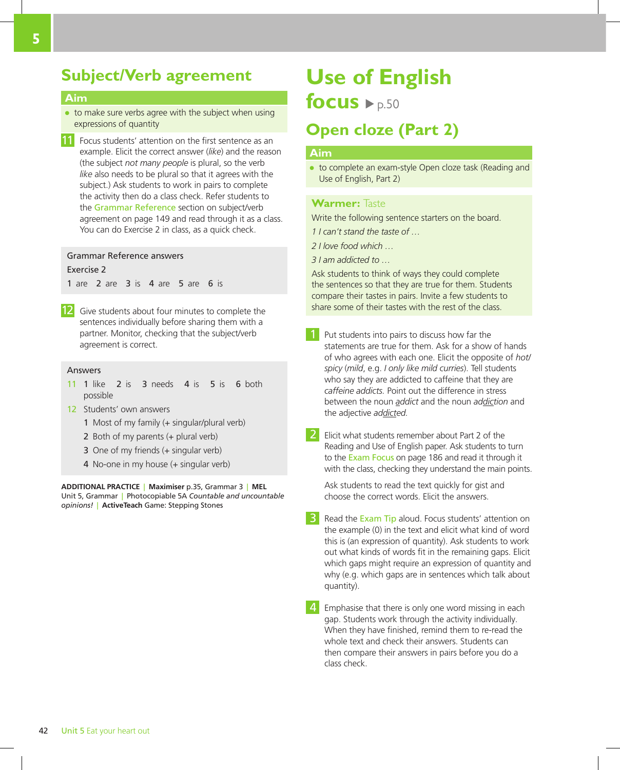### **Subject/Verb agreement**

### **Aim**

- to make sure verbs agree with the subject when using expressions of quantity
- 11 Focus students' attention on the first sentence as an example. Elicit the correct answer (*like*) and the reason (the subject *not many people* is plural, so the verb *like* also needs to be plural so that it agrees with the subject.) Ask students to work in pairs to complete the activity then do a class check. Refer students to the Grammar Reference section on subject/verb agreement on page 149 and read through it as a class. You can do Exercise 2 in class, as a quick check.

### Grammar Reference answers

Exercise 2

1 are 2 are 3 is 4 are 5 are 6 is

12 Give students about four minutes to complete the sentences individually before sharing them with a partner. Monitor, checking that the subject/verb agreement is correct.

#### Answers

- 11 1 like 2 is 3 needs 4 is 5 is 6 both possible
- 12 Students' own answers
	- 1 Most of my family (+ singular/plural verb)
	- 2 Both of my parents (+ plural verb)
	- 3 One of my friends (+ singular verb)
	- 4 No-one in my house (+ singular verb)

**ADDITIONAL PRACTICE** | **Maximiser** p.35, Grammar 3 | **MEL** Unit 5, Grammar | Photocopiable 5A *Countable and uncountable opinions!* | **ActiveTeach** Game: Stepping Stones

# **Use of English**

**focus**  $\rightharpoonup p.50$ 

### **Open cloze (Part 2)**

### **Aim**

to complete an exam-style Open cloze task (Reading and Use of English, Part 2)

### **Warmer:** Taste

Write the following sentence starters on the board.

*1 I can't stand the taste of …*

- *2 I love food which …*
- *3 I am addicted to …*

Ask students to think of ways they could complete the sentences so that they are true for them. Students compare their tastes in pairs. Invite a few students to share some of their tastes with the rest of the class.

Put students into pairs to discuss how far the statements are true for them. Ask for a show of hands of who agrees with each one. Elicit the opposite of *hot/ spicy* (*mild*, e.g. *I only like mild curries*). Tell students who say they are addicted to caffeine that they are *caffeine addicts.* Point out the difference in stress between the noun *addict* and the noun *addiction* and the adjective *addicted.*

2 Elicit what students remember about Part 2 of the Reading and Use of English paper. Ask students to turn to the Exam Focus on page 186 and read it through it with the class, checking they understand the main points.

Ask students to read the text quickly for gist and choose the correct words. Elicit the answers.

Read the Exam Tip aloud. Focus students' attention on the example (0) in the text and elicit what kind of word this is (an expression of quantity). Ask students to work out what kinds of words fit in the remaining gaps. Elicit which gaps might require an expression of quantity and why (e.g. which gaps are in sentences which talk about quantity).

Emphasise that there is only one word missing in each gap. Students work through the activity individually. When they have finished, remind them to re-read the whole text and check their answers. Students can then compare their answers in pairs before you do a class check.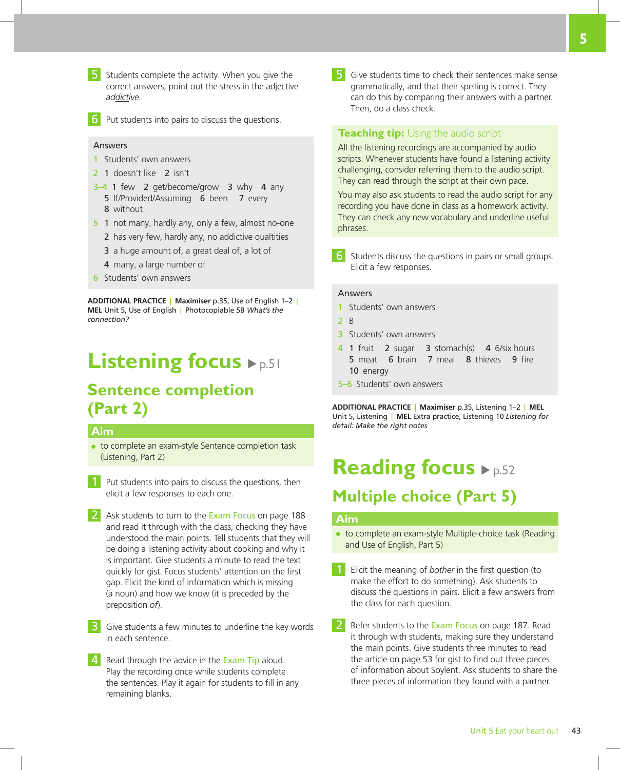

5 Students complete the activity. When you give the correct answers, point out the stress in the adjective *addictive.*



Put students into pairs to discuss the questions.

### Answers

- 1 Students' own answers
- 2 1 doesn't like 2 isn't
- 3–4 1 few 2 get/become/grow 3 why 4 any 5 If/Provided/Assuming 6 been 7 every 8 without
- 5 1 not many, hardly any, only a few, almost no-one
	- 2 has very few, hardly any, no addictive qualtities
	- 3 a huge amount of, a great deal of, a lot of
	- 4 many, a large number of
- 6 Students' own answers

**ADDITIONAL PRACTICE** | **Maximiser** p.35, Use of English 1–2 | **MEL** Unit 5, Use of English | Photocopiable 5B *What's the connection?*

# **Listening focus**  $\rho_{p.51}$

### **Sentence completion (Part 2)**

### **Aim**

- to complete an exam-style Sentence completion task (Listening, Part 2)
- **1** Put students into pairs to discuss the questions, then elicit a few responses to each one.
- 2 Ask students to turn to the Exam Focus on page 188 and read it through with the class, checking they have understood the main points. Tell students that they will be doing a listening activity about cooking and why it is important. Give students a minute to read the text quickly for gist. Focus students' attention on the first gap. Elicit the kind of information which is missing (a noun) and how we know (it is preceded by the preposition *of*).
- **3** Give students a few minutes to underline the key words in each sentence.
- Read through the advice in the Exam Tip aloud. Play the recording once while students complete the sentences. Play it again for students to fill in any remaining blanks.

5 Give students time to check their sentences make sense grammatically, and that their spelling is correct. They can do this by comparing their answers with a partner. Then, do a class check.

### **Teaching tip:** Using the audio script

All the listening recordings are accompanied by audio scripts. Whenever students have found a listening activity challenging, consider referring them to the audio script. They can read through the script at their own pace.

You may also ask students to read the audio script for any recording you have done in class as a homework activity. They can check any new vocabulary and underline useful phrases.

Students discuss the questions in pairs or small groups. Elicit a few responses.

### Answers

- 1 Students' own answers
- 2 B
- 3 Students' own answers
- 4 1 fruit 2 sugar 3 stomach(s) 4 6/six hours 5 meat 6 brain 7 meal 8 thieves 9 fire 10 energy
- 5–6 Students' own answers

**ADDITIONAL PRACTICE** | **Maximiser** p.35, Listening 1–2 | **MEL** Unit 5, Listening | **MEL** Extra practice, Listening 10 *Listening for detail: Make the right notes*

# **Reading focus**  $\blacktriangleright$  p.52 **Multiple choice (Part 5)**

#### **Aim**

- to complete an exam-style Multiple-choice task (Reading and Use of English, Part 5)
- 1 Elicit the meaning of *bother* in the first question (to make the effort to do something). Ask students to discuss the questions in pairs. Elicit a few answers from the class for each question.
- Refer students to the Exam Focus on page 187. Read it through with students, making sure they understand the main points. Give students three minutes to read the article on page 53 for gist to find out three pieces of information about Soylent. Ask students to share the three pieces of information they found with a partner.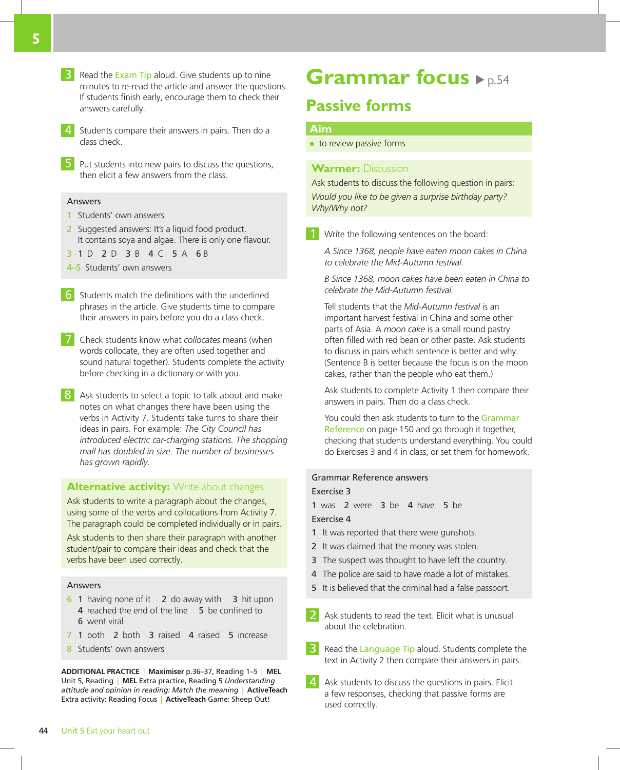- **3** Read the Exam Tip aloud. Give students up to nine minutes to re-read the article and answer the questions. If students finish early, encourage them to check their answers carefully.
- 4 Students compare their answers in pairs. Then do a class check.
- 5 Put students into new pairs to discuss the questions, then elicit a few answers from the class.

### Answers

- 1 Students' own answers
- 2 Suggested answers: It's a liquid food product. It contains soya and algae. There is only one flavour.
- 3 1 D 2 D 3 B 4 C 5 A 6 B
- 4–5 Students' own answers
- 6 Students match the definitions with the underlined phrases in the article. Give students time to compare their answers in pairs before you do a class check.
- 7 Check students know what *collocates* means (when words collocate, they are often used together and sound natural together). Students complete the activity before checking in a dictionary or with you.
- 8 Ask students to select a topic to talk about and make notes on what changes there have been using the verbs in Activity 7. Students take turns to share their ideas in pairs. For example: *The City Council has introduced electric car-charging stations. The shopping mall has doubled in size. The number of businesses has grown rapidly*.

### **Alternative activity:** Write about changes

Ask students to write a paragraph about the changes, using some of the verbs and collocations from Activity 7. The paragraph could be completed individually or in pairs.

Ask students to then share their paragraph with another student/pair to compare their ideas and check that the verbs have been used correctly.

#### Answers

- 6 1 having none of it 2 do away with 3 hit upon 4 reached the end of the line 5 be confined to 6 went viral
- 7 1 both 2 both 3 raised 4 raised 5 increase
- 8 Students' own answers

**ADDITIONAL PRACTICE** | **Maximiser** p.36–37, Reading 1–5 | **MEL** Unit 5, Reading | **MEL** Extra practice, Reading 5 *Understanding attitude and opinion in reading: Match the meaning* | **ActiveTeach** Extra activity: Reading Focus | **ActiveTeach** Game: Sheep Out!

# **Grammar focus**  $\rho_{p.54}$

### **Passive forms**

### **Aim**

● to review passive forms

### **Warmer:** Discussion

Ask students to discuss the following question in pairs: *Would you like to be given a surprise birthday party? Why/Why not?*

Write the following sentences on the board:

*A Since 1368, people have eaten moon cakes in China to celebrate the Mid-Autumn festival.* 

*B Since 1368, moon cakes have been eaten in China to celebrate the Mid-Autumn festival.* 

Tell students that the *Mid-Autumn festival* is an important harvest festival in China and some other parts of Asia. A *moon cake* is a small round pastry often filled with red bean or other paste. Ask students to discuss in pairs which sentence is better and why. (Sentence B is better because the focus is on the moon cakes, rather than the people who eat them.)

Ask students to complete Activity 1 then compare their answers in pairs. Then do a class check.

You could then ask students to turn to the Grammar Reference on page 150 and go through it together, checking that students understand everything. You could do Exercises 3 and 4 in class, or set them for homework.

### Grammar Reference answers Exercise 3

1 was 2 were 3 be 4 have 5 be Exercise 4

- 1 It was reported that there were gunshots.
- 2 It was claimed that the money was stolen.
- 3 The suspect was thought to have left the country.
- 4 The police are said to have made a lot of mistakes.
- 5 It is believed that the criminal had a false passport.
- 2 Ask students to read the text. Elicit what is unusual about the celebration.
- **3** Read the Language Tip aloud. Students complete the text in Activity 2 then compare their answers in pairs.
- Ask students to discuss the questions in pairs. Elicit a few responses, checking that passive forms are used correctly.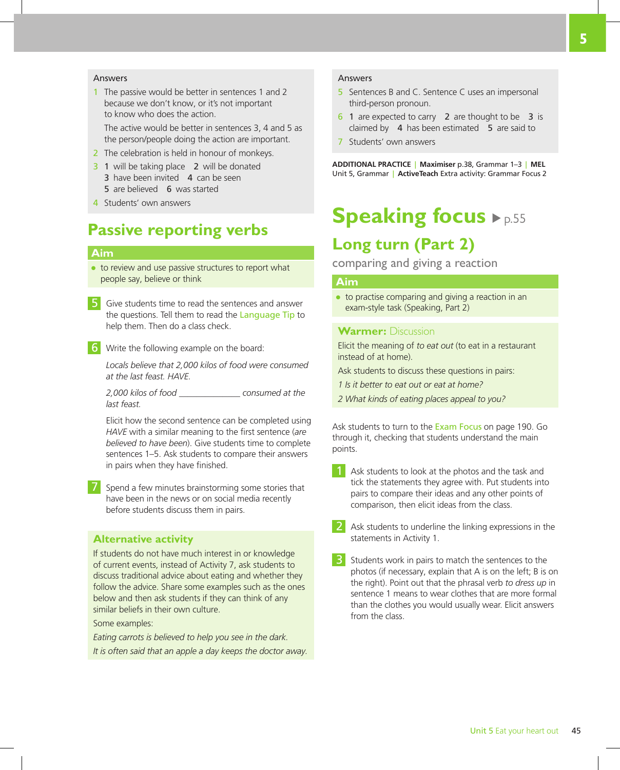### Answers

1 The passive would be better in sentences 1 and 2 because we don't know, or it's not important to know who does the action. The active would be better in sentences 3, 4 and 5 as the person/people doing the action are important.

2 The celebration is held in honour of monkeys.

- 3 1 will be taking place 2 will be donated 3 have been invited 4 can be seen 5 are believed 6 was started
- 4 Students' own answers

### **Passive reporting verbs**

### **Aim**

● to review and use passive structures to report what people say, believe or think

5 Give students time to read the sentences and answer the questions. Tell them to read the Language Tip to help them. Then do a class check.

6 Write the following example on the board:

*Locals believe that 2,000 kilos of food were consumed at the last feast. HAVE.*

*2,000 kilos of food \_\_\_\_\_\_\_\_\_\_\_\_\_\_ consumed at the last feast.*

Elicit how the second sentence can be completed using *HAVE* with a similar meaning to the first sentence (*are believed to have been*). Give students time to complete sentences 1–5. Ask students to compare their answers in pairs when they have finished.

Spend a few minutes brainstorming some stories that have been in the news or on social media recently before students discuss them in pairs.

### **Alternative activity**

If students do not have much interest in or knowledge of current events, instead of Activity 7, ask students to discuss traditional advice about eating and whether they follow the advice. Share some examples such as the ones below and then ask students if they can think of any similar beliefs in their own culture.

Some examples:

*Eating carrots is believed to help you see in the dark. It is often said that an apple a day keeps the doctor away.*

### Answers

- 5 Sentences B and C. Sentence C uses an impersonal third-person pronoun.
- 6 1 are expected to carry 2 are thought to be 3 is claimed by 4 has been estimated 5 are said to
- 7 Students' own answers

**ADDITIONAL PRACTICE** | **Maximiser** p.38, Grammar 1–3 | **MEL** Unit 5, Grammar | **ActiveTeach** Extra activity: Grammar Focus 2

# **Speaking focus**  $\blacktriangleright$  p.55

### **Long turn (Part 2)**

comparing and giving a reaction

### **Aim**

● to practise comparing and giving a reaction in an exam-style task (Speaking, Part 2)

### **Warmer:** Discussion

Elicit the meaning of *to eat out* (to eat in a restaurant instead of at home).

Ask students to discuss these questions in pairs:

*1 Is it better to eat out or eat at home?*

*2 What kinds of eating places appeal to you?*

Ask students to turn to the Exam Focus on page 190. Go through it, checking that students understand the main points.

- **1** Ask students to look at the photos and the task and tick the statements they agree with. Put students into pairs to compare their ideas and any other points of comparison, then elicit ideas from the class.
- Ask students to underline the linking expressions in the statements in Activity 1.
- 3 Students work in pairs to match the sentences to the photos (if necessary, explain that A is on the left; B is on the right). Point out that the phrasal verb *to dress up* in sentence 1 means to wear clothes that are more formal than the clothes you would usually wear. Elicit answers from the class.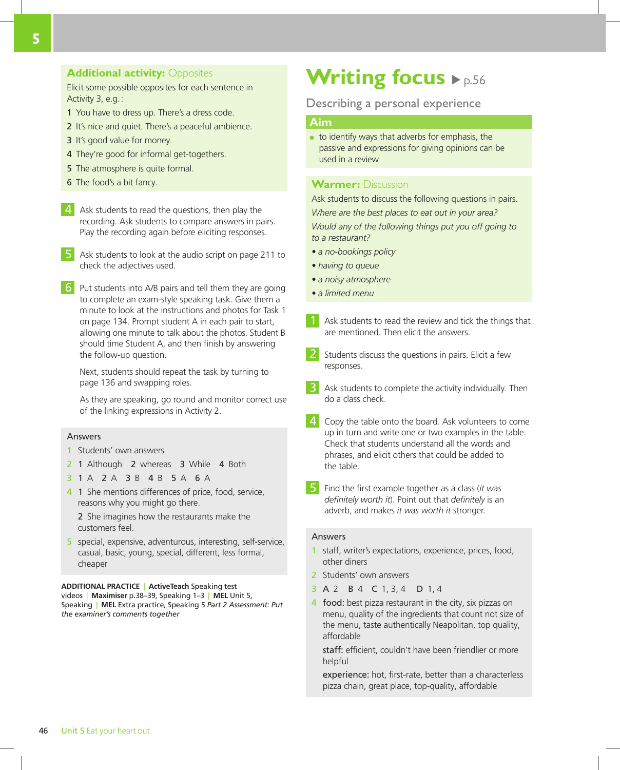### **Additional activity: Opposites**

Elicit some possible opposites for each sentence in Activity 3, e.g.:

- 1 You have to dress up. There's a dress code.
- 2 It's nice and quiet. There's a peaceful ambience.
- 3 It's good value for money.
- 4 They're good for informal get-togethers.
- 5 The atmosphere is quite formal.
- 6 The food's a bit fancy.
- 4 Ask students to read the questions, then play the recording. Ask students to compare answers in pairs. Play the recording again before eliciting responses.
- 5 Ask students to look at the audio script on page 211 to check the adjectives used.
- 6 Put students into A/B pairs and tell them they are going to complete an exam-style speaking task. Give them a minute to look at the instructions and photos for Task 1 on page 134. Prompt student A in each pair to start, allowing one minute to talk about the photos. Student B should time Student A, and then finish by answering the follow-up question.

Next, students should repeat the task by turning to page 136 and swapping roles.

As they are speaking, go round and monitor correct use of the linking expressions in Activity 2.

#### Answers

- 1 Students' own answers
- 2 1 Although 2 whereas 3 While 4 Both
- 3 1 A 2 A 3 B 4 B 5 A 6 A
- 4 1 She mentions differences of price, food, service, reasons why you might go there.

2 She imagines how the restaurants make the customers feel.

5 special, expensive, adventurous, interesting, self-service, casual, basic, young, special, different, less formal, cheaper

**ADDITIONAL PRACTICE** | **ActiveTeach** Speaking test videos | **Maximiser** p.38–39, Speaking 1–3 | **MEL** Unit 5, Speaking | **MEL** Extra practice, Speaking 5 *Part 2 Assessment: Put the examiner's comments together*

# **Writing focus**  $\blacktriangleright$  p.56

### Describing a personal experience

### **Aim**

to identify ways that adverbs for emphasis, the passive and expressions for giving opinions can be used in a review

### **Warmer:** Discussion

Ask students to discuss the following questions in pairs. *Where are the best places to eat out in your area?*

*Would any of the following things put you off going to to a restaurant?*

- *a no-bookings policy*
- *having to queue*
- *a noisy atmosphere*
- *a limited menu*
- Ask students to read the review and tick the things that are mentioned. Then elicit the answers.
- 2 Students discuss the questions in pairs. Elicit a few responses.
- **3** Ask students to complete the activity individually. Then do a class check.
- **4** Copy the table onto the board. Ask volunteers to come up in turn and write one or two examples in the table. Check that students understand all the words and phrases, and elicit others that could be added to the table.
- 5 Find the first example together as a class (*it was definitely worth it*). Point out that *definitely* is an adverb, and makes *it was worth it* stronger.

### Answers

- 1 staff, writer's expectations, experience, prices, food, other diners
- 2 Students' own answers
- 3 A 2 B 4 C 1, 3, 4 D 1, 4
- 4 food: best pizza restaurant in the city, six pizzas on menu, quality of the ingredients that count not size of the menu, taste authentically Neapolitan, top quality, affordable

staff: efficient, couldn't have been friendlier or more helpful

experience: hot, first-rate, better than a characterless pizza chain, great place, top-quality, affordable